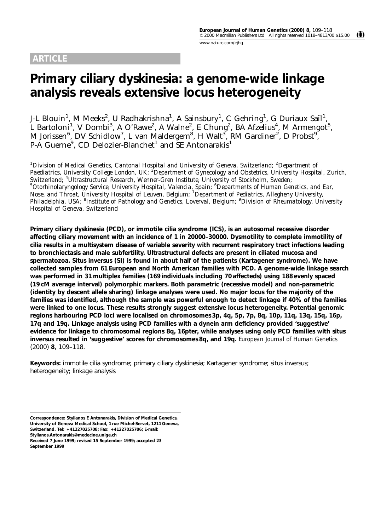### **ARTICLE**

# **Primary ciliary dyskinesia: a genome-wide linkage analysis reveals extensive locus heterogeneity**

J-L Blouin $^1$ , M Meeks $^2$ , U Radhakrishna $^1$ , A Sainsbury $^1$ , C Gehring $^1$ , G Duriaux Saïl $^1$ , L Bartoloni<sup>1</sup>, V Dombi<sup>3</sup>, A O'Rawe<sup>2</sup>, A Walne<sup>2</sup>, E Chung<sup>2</sup>, BA Afzelius<sup>4</sup>, M Armengot<sup>5</sup>, M Jorissen $^6$ , DV Schidlow $^7$ , L van Maldergem $^8$ , H Walt $^3$ , RM Gardiner $^2$ , D Probst $^9$ , P-A Guerne<sup>9</sup>, CD Delozier-Blanchet<sup>1</sup> and SE Antonarakis<sup>1</sup>

<sup>1</sup> Division of Medical Genetics, Cantonal Hospital and University of Geneva, Switzerland; <sup>2</sup> Department of *Paediatrics, University College London, UK; <sup>3</sup> Department of Gynecology and Obstetrics, University Hospital, Zurich, Switzerland;* <sup>4</sup>*Ultrastructural Research, Wenner-Gren Institute, University of Stockholm, Sweden;* Switzerland; "Ultrastructural Research, Wenner-Gren Institute, University of Stockholm, Sweden;<br><sup>5</sup>Otorhinolaryngology Service, University Hospital, Valencia, Spain; <sup>6</sup>Departments of Human Genetics, and Ear, *Nose, and Throat, University Hospital of Leuven, Belgium; <sup>7</sup> Department of Pediatrics, Allegheny University, Philadelphia, USA; <sup>8</sup> Institute of Pathology and Genetics, Loverval, Belgium; <sup>9</sup> Division of Rheumatology, University Hospital of Geneva, Switzerland*

**Primary ciliary dyskinesia (PCD), or immotile cilia syndrome (ICS), is an autosomal recessive disorder affecting ciliary movement with an incidence of 1 in 20000–30000. Dysmotility to complete immotility of cilia results in a multisystem disease of variable severity with recurrent respiratory tract infections leading to bronchiectasis and male subfertility. Ultrastructural defects are present in ciliated mucosa and spermatozoa. Situs inversus (SI) is found in about half of the patients (Kartagener syndrome). We have collected samples from 61 European and North American families with PCD. A genome-wide linkage search was performed in 31 multiplex families (169 individuals including 70 affecteds) using 188 evenly spaced (19 cM average interval) polymorphic markers. Both parametric (recessive model) and non-parametric (identity by descent allele sharing) linkage analyses were used. No major locus for the majority of the families was identified, although the sample was powerful enough to detect linkage if 40% of the families were linked to one locus. These results strongly suggest extensive locus heterogeneity. Potential genomic regions harbouring PCD loci were localised on chromosomes 3p, 4q, 5p, 7p, 8q, 10p, 11q, 13q, 15q, 16p, 17q and 19q. Linkage analysis using PCD families with a dynein arm deficiency provided 'suggestive' evidence for linkage to chromosomal regions 8q, 16pter, while analyses using only PCD families with situs inversus resulted in 'suggestive' scores for chromosomes 8q, and 19q.** *European Journal of Human Genetics* (2000) **8**, 109–118.

**Keywords:** immotile cilia syndrome; primary ciliary dyskinesia; Kartagener syndrome; situs inversus; heterogeneity; linkage analysis

**Correspondence: Stylianos E Antonarakis, Division of Medical Genetics, University of Geneva Medical School, 1 rue Michel-Servet, 1211 Geneva, Switzerland. Tel: + 41227025708; Fax: + 41227025706; E-mail: Stylianos.Antonarakis@medecine.unige.ch**

**Received 7 June 1999; revised 15 September 1999; accepted 23 September 1999**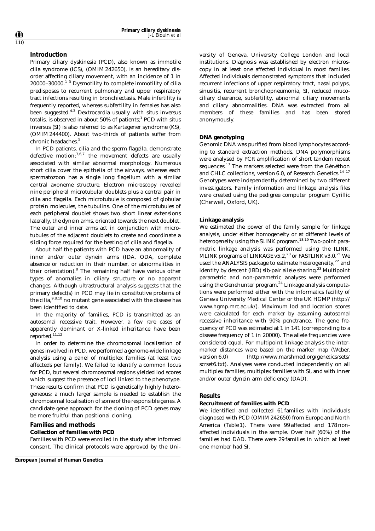### **Introduction**

Primary ciliary dyskinesia (PCD), also known as immotile cilia syndrome (ICS), (OMIM 242650), is an hereditary disorder affecting ciliary movement, with an incidence of 1 in 20000–30000. $1-3$  Dysmotility to complete immotility of cilia predisposes to recurrent pulmonary and upper respiratory tract infections resulting in bronchiectasis. Male infertility is frequently reported, whereas subfertility in females has also been suggested.<sup>4,3</sup> Dextrocardia usually with situs inversus totalis, is observed in about 50% of patients; $1$  PCD with situs inversus (SI) is also referred to as Kartagener syndrome (KS), (OMIM 244400). About two-thirds of patients suffer from chronic headaches.<sup>5</sup>

In PCD patients, cilia and the sperm flagella, demonstrate defective motion;<sup>3,6,7</sup> the movement defects are usually associated with similar abnormal morphology. Numerous short cilia cover the epithelia of the airways, whereas each spermatozoon has a single long flagellum with a similar central axoneme structure. Electron microscopy revealed nine peripheral microtubular doublets plus a central pair in cilia and flagella. Each microtubule is composed of globular protein molecules, the tubulins. One of the microtubules of each peripheral doublet shows two short linear extensions laterally, the dynein arms, oriented towards the next doublet. The outer and inner arms act in conjunction with microtubules of the adjacent doublets to create and coordinate a sliding force required for the beating of cilia and flagella.

About half the patients with PCD have an abnormality of inner and/or outer dynein arms (IDA, ODA, complete absence or reduction in their number, or abnormalities in their orientation).<sup>8</sup> The remaining half have various other types of anomalies in ciliary structure or no apparent changes. Although ultrastructural analysis suggests that the primary defect(s) in PCD may lie in constitutive proteins of the cilia,<sup>9,8,10</sup> no mutant gene associated with the disease has been identified to date.

In the majority of families, PCD is transmitted as an autosomal recessive trait. However, a few rare cases of apparently dominant or X-linked inheritance have been reported.<sup>11,12</sup>

In order to determine the chromosomal localisation of genes involved in PCD, we performed a genome-wide linkage analysis using a panel of multiplex families (at least two affecteds per family). We failed to identify a common locus for PCD, but several chromosomal regions yielded lod scores which suggest the presence of loci linked to the phenotype. These results confirm that PCD is genetically highly heterogeneous; a much larger sample is needed to establish the chromosomal localisation of some of the responsible genes. A candidate gene approach for the cloning of PCD genes may be more fruitful than positional cloning.

### **Families and methods**

### **Collection of families with PCD**

Families with PCD were enrolled in the study after informed consent. The clinical protocols were approved by the University of Geneva, University College London and local institutions. Diagnosis was established by electron microscopy in at least one affected individual in most families. Affected individuals demonstrated symptoms that included recurrent infections of upper respiratory tract, nasal polyps, sinusitis, recurrent bronchopneumonia, SI, reduced mucociliary clearance, subfertility, abnormal ciliary movements and ciliary abnormalities. DNA was extracted from all members of these families and has been stored anonymously.

### **DNA genotyping**

Genomic DNA was purified from blood lymphocytes according to standard extraction methods. DNA polymorphisms were analysed by PCR amplification of short tandem repeat sequences.<sup>13</sup> The markers selected were from the Généthon and CHLC collections, version 6.0, of Research Genetics.<sup>14-17</sup> Genotypes were independently determined by two different investigators. Family information and linkage analysis files were created using the pedigree computer program Cyrillic (Cherwell, Oxford, UK).

### **Linkage analysis**

We estimated the power of the family sample for linkage analysis, under either homogeneity or at different levels of heterogeneity using the SLINK program.<sup>18,19</sup> Two-point parametric linkage analysis was performed using the ILINK, MLINK programs of LINKAGE v5.2,<sup>20</sup> or FASTLINK v3.0.<sup>21</sup> We used the ANALYSIS package to estimate heterogeneity,<sup>22</sup> and identity by descent (IBD) sib-pair allele sharing.<sup>23</sup> Multipoint parametric and non-parametric analyses were performed using the Genehunter program. $^{24}$  Linkage analysis computations were performed either with the informatics facility of Geneva University Medical Center or the UK HGMP (http:// www.hgmp.mrc.ac.uk/). Maximum lod and location scores were calculated for each marker by assuming autosomal recessive inheritance with 90% penetrance. The gene frequency of PCD was estimated at 1 in 141 (corresponding to a disease frequency of 1 in 20000). The allele frequencies were considered equal. For multipoint linkage analysis the intermarker distances were based on the marker map (Weber, version 6.0) (http://www.marshmed.org/genetics/sets/ scrset6.txt). Analyses were conducted independently on all multiplex families, multiplex families with SI, and with inner and/or outer dynein arm deficiency (DAD).

### **Results**

### **Recruitment of families with PCD**

We identified and collected 61 families with individuals diagnosed with PCD (OMIM 242650) from Europe and North America (Table 1). There were 99 affected and 178 nonaffected individuals in the sample. Over half (60%) of the families had DAD. There were 29 families in which at least one member had SI.

## 110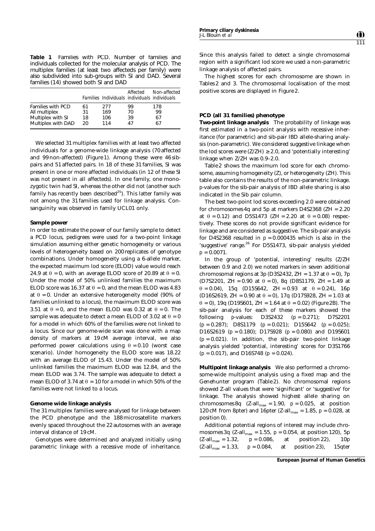|                    |    | Families Individuals individuals individuals |    | Affected Non-affected |
|--------------------|----|----------------------------------------------|----|-----------------------|
| Families with PCD  | 61 | 277                                          | 99 | 178                   |
| All multiplex      | 31 | 169                                          | 70 | 99                    |
| Multiplex with SI  | 18 | 106                                          | 39 | 67                    |
| Multiplex with DAD | 20 | 114                                          | 47 | 67                    |

We selected 31 multiplex families with at least two affected individuals for a genome-wide linkage analysis (70 affected and 99 non-affected) (Figure 1). Among these were 46 sibpairs and 51 affected pairs. In 18 of these 31 families, SI was present in one or more affected individuals (in 12 of these SI was not present in all affecteds). In one family, one monozygotic twin had SI, whereas the other did not (another such family has recently been described $^{25}$ ). This latter family was not among the 31 families used for linkage analysis. Consanguinity was observed in family UCL01 only.

### **Sample power**

In order to estimate the power of our family sample to detect a PCD locus, pedigrees were used for a two-point linkage simulation assuming either genetic homogeneity or various levels of heterogeneity based on 200 replicates of genotype combinations. Under homogeneity using a 6-allele marker, the expected maximum lod score (ELOD) value would reach 24.9 at  $\theta = 0$ , with an average ELOD score of 20.89 at  $\theta = 0$ . Under the model of 50% unlinked families the maximum ELOD score was 16.37 at  $\theta = 0$ , and the mean ELOD was 4.83 at  $\theta$  = 0. Under an extensive heterogeneity model (90% of families unlinked to a locus), the maximum ELOD score was 3.51 at  $\theta = 0$ , and the mean ELOD was 0.32 at  $\theta = 0$ . The sample was adequate to detect a mean ELOD of 3.02 at  $\theta = 0$ for a model in which 60% of the families were not linked to a locus. Since our genome-wide scan was done with a map density of markers at 19 cM average interval, we also performed power calculations using  $θ = 0.10$  (worst case scenario). Under homogeneity the ELOD score was 18.22 with an average ELOD of 15.43. Under the model of 50% unlinked families the maximum ELOD was 12.84, and the mean ELOD was 3.74. The sample was adequate to detect a mean ELOD of 3.74 at  $\theta = 10$  for a model in which 50% of the families were not linked to a locus.

### **Genome wide linkage analysis**

The 31 multiplex families were analysed for linkage between the PCD phenotype and the 188 microsatellite markers evenly spaced throughout the 22 autosomes with an average interval distance of 19 cM.

Genotypes were determined and analyzed initially using parametric linkage with a recessive mode of inheritance.

Since this analysis failed to detect a single chromosomal region with a significant lod score we used a non-parametric linkage analysis of affected pairs.

The highest scores for each chromosome are shown in Tables 2 and 3. The chromosomal localisation of the most positive scores are displayed in Figure 2.

### **PCD (all 31 families) phenotype**

*Two-point linkage analysis* The probability of linkage was first estimated in a two-point analysis with recessive inheritance (for parametric) and sib-pair IBD allele-sharing analysis (non-parametric). We considered suggestive linkage when the lod scores were  $(Z/ZH) \geq 2.0$ , and 'potentially interesting' linkage when Z/ZH was 0.9–2.0.

Table 2 shows the maximum lod score for each chromosome, assuming homogeneity (Z), or heterogeneity (ZH). This table also contains the results of the non-parametric linkage. *p*-values for the sib-pair analysis of IBD allele sharing is also indicated in the Sib pair column.

The best two-point lod scores exceeding 2.0 were obtained for chromosomes 4q and 5p at markers D4S2368 (ZH = 2.20 at θ = 0.12) and D5S1473 (ZH = 2.20 at θ = 0.08) respectively. These scores do not provide significant evidence for linkage and are considered as suggestive. The sib-pair analysis for D4S2368 resulted in  $p = 0.000435$  which is also in the 'suggestive' range.<sup>26</sup> For D5S1473, sib-pair analysis yielded  $p = 0.0071$ .

In the group of 'potential, interesting' results (Z/ZH between 0.9 and 2.0) we noted markers in seven additional chromosomal regions at 3p (D3S2432, ZH = 1.37 at  $\theta$  = 0), 7p (D7S2201, ZH = 0.90 at  $\theta = 0$ ), 8q (D8S1179, ZH = 1.49 at  $\theta = 0.04$ , 15q (D15S642, ZH = 0.93 at  $\theta = 0.24$ ), 16p (D16S2619, ZH = 0.90 at  $\theta$  = 0), 17q (D17S928, ZH = 1.03 at θ = 0), 19q (D19S601, ZH = 1.64 at θ = 0.02) (Figure 2B). The sib-pair analysis for each of these markers showed the following *p*-values: D3S2432 (*p* = 0.271); D7S2201 (*p* = 0.287); D8S1179 (*p* = 0.021); D15S642 (*p* = 0.025); D16S2619 (*p* = 0.180); D17S928 (*p* = 0.080) and D19S601  $(p = 0.021)$ . In addition, the sib-pair two-point linkage analysis yielded 'potential, interesting' scores for D3S1766 (*p* = 0.017), and D16S748 (*p* = 0.024).

*Multipoint linkage analysis* We also performed a chromosome-wide multipoint analysis using a fixed map and the Genehunter program (Table 2). No chromosomal regions showed Z-all values that were 'significant' or 'suggestive' for linkage. The analysis showed highest allele sharing on chromosomes 8q  $(Z-\text{all}_{\text{max}} = 1.90, p = 0.025, \text{at position}$ 120 cM from 8pter) and 16pter (Z-all<sub>max</sub> = 1.85,  $p = 0.028$ , at position 0).

Additional potential regions of interest may include chromosomes 3q (Z-all<sub>max</sub> = 1.55,  $p = 0.054$ , at position 120), 5p  $(Z-\text{all}_{\text{max}} = 1.32,$   $p = 0.086,$  at position 22), 10p  $(Z-\text{all}_{\text{max}} = 1.33, p = 0.084, \text{ at position 23}, 15q \text{ ter}$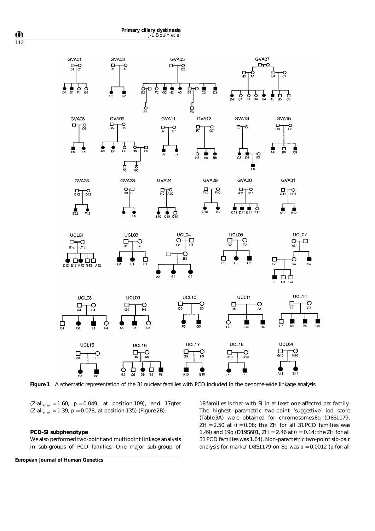

**Figure 1** A schematic representation of the 31 nuclear families with PCD included in the genome-wide linkage analysis.

 $(Zall_{max} = 1.60, p = 0.049, at position 109), and 17qter$  $(Z-all_{max} = 1.39, p = 0.078, at position 135)$  (Figure 2B).

### **PCD-SI subphenotype**

We also performed two-point and multipoint linkage analysis in sub-groups of PCD families. One major sub-group of

18 families is that with SI in at least one affected per family. The highest parametric two-point 'suggestive' lod score (Table 3A) were obtained for chromosomes 8q (D8S1179, ZH = 2.50 at  $\theta$  = 0.08; the ZH for all 31 PCD families was 1.49) and 19q (D19S601, ZH = 2.46 at  $\theta$  = 0.14; the ZH for all 31 PCD families was 1.64). Non-parametric two-point sib-pair analysis for marker D8S1179 on 8q was *p* = 0.0012 (*p* for all

**European Journal of Human Genetics**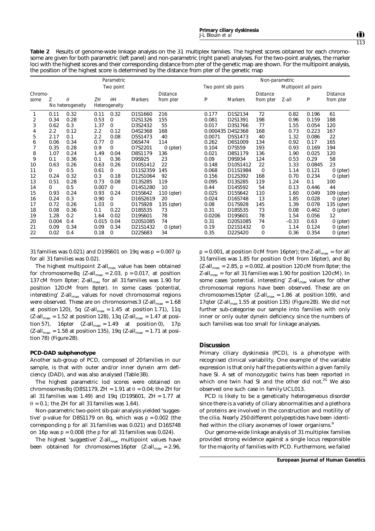**Table 2** Results of genome-wide linkage analysis on the 31 multiplex families. The highest scores obtained for each chromosome are given for both parametric (left panel) and non-parametric (right panel) analyses. For the two-point analyses, the marker loci with the highest scores and their corresponding distance from pter of the genetic map are shown. For the multipoint analysis, the position of the highest score is determined by the distance from pter of the genetic map

| Parametric      |              |                              |             |                             |                   |                              | Non-parametric   |                   |                       |              |               |                       |  |
|-----------------|--------------|------------------------------|-------------|-----------------------------|-------------------|------------------------------|------------------|-------------------|-----------------------|--------------|---------------|-----------------------|--|
| Two point       |              |                              |             |                             |                   | Two point sib pairs          |                  |                   | Multipoint all pairs  |              |               |                       |  |
| Chromo-<br>some | Ζ            | $\theta$<br>No heterogeneity | ZΗ          | $\theta$ H<br>Heterogeneity | <b>Markers</b>    | <i>Distance</i><br>from pter | P                | <b>Markers</b>    | Distance<br>from pter | $Z$ -all     | P             | Distance<br>from pter |  |
| 2               | 0.11         | 0.32                         | 0.11        | 0.32                        | D1S1660           | 216                          | 0.177            | D1S2134           | 72                    | 0.82         | 0.196         | 61                    |  |
|                 | 0.34         | 0.28                         | 0.53        | 0                           | D2S1326           | 155                          | 0.081            | D2S1391           | 198                   | 0.96         | 0.159         | 188                   |  |
| 3               | 0.62         | 0.3                          | 1.37        | 0                           | D3S2432           | 55                           | 0.017            | D3S1766           | 77                    | 1.55         | 0.054         | 120                   |  |
| 4               | $2.2\,$      | 0.12                         | $2.2\,$     | 0.12                        | D4S2368           | 168                          | 0.000435 D4S2368 |                   | 168                   | 0.73         | 0.223         | 167                   |  |
| 5               | 2.17<br>0.06 | 0.1<br>0.34                  | 2.2<br>0.77 | 0.08                        | D5S1473           | 40<br>114                    | 0.0071           | D5S1473           | 40                    | 1.32         | 0.086         | 22                    |  |
| 6<br>7          | 0.35         | 0.28                         | 0.9         | 0<br>0                      | D6S474<br>D7S2201 | $0$ (pter)                   | 0.262<br>0.104   | D6S1009<br>D7S559 | 134<br>193            | 0.92<br>0.93 | 0.17<br>0.169 | 165<br>194            |  |
| 8               | 1.07         | 0.24                         | 1.49        | 0.04                        | D8S1179           | 136                          | 0.021            | D8S1179           | 136                   | 1.90         | 0.025         | 120                   |  |
| 9               | 0.1          | 0.36                         | 0.1         | 0.36                        | D9S925            | 23                           | 0.09             | D9S934            | 124                   | 0.53         | 0.29          | 58                    |  |
| 10              | 0.63         | 0.26                         | 0.63        | 0.26                        | D10S1412          | 22                           | 0.148            | D10S1412          | 22                    | 1.33         | 0.0845        | 23                    |  |
| 11              | $\Omega$     | 0.5                          | 0.61        | 0                           | D11S2359          | 145                          | 0.068            | D11S1984          | $\mathbf 0$           | 1.14         | 0.121         | $0$ (pter)            |  |
| 12              | 0.24         | 0.32                         | 0.3         | 0.18                        | D12S1064          | 92                           | 0.156            | D12S392           | 168                   | 0.70         | 0.234         | $0$ (pter)            |  |
| 13              | 0.51         | 0.28                         | 0.73        | 0.08                        | D13S285           | 119                          | 0.095            | D13S285           | 119                   | 1.24         | 0.1           | 100                   |  |
| 14              | $\Omega$     | 0.5                          | 0.007       | $\mathbf 0$                 | D14S1280          | 10                           | 0.44             | D14S592           | 54                    | 0.13         | 0.446         | 44                    |  |
| 15              | 0.93         | 0.24                         | 0.93        | 0.24                        | D15S642           | 110 (qter)                   | 0.025            | D15S642           | 110                   | 1.60         | 0.049         | 109 (qter)            |  |
| 16              | 0.24         | 0.3                          | 0.90        | $\mathbf 0$                 | D16S2619          | 20                           | 0.024            | D16S748           | 13                    | 1.85         | 0.028         | 0 (pter)              |  |
| 17              | 0.72         | 0.26                         | 1.03        | 0                           | D17S928           | 135 (qter)                   | 0.08             | D17S928           | 145                   | 1.39         | 0.078         | 135 (qter)            |  |
| 18              | 0.08         | 0.36                         | 0.1         | 0.22                        | D18S535           | 73                           | 0.31             | D18S535           | 73                    | 0.08         | 0.462         | 0 (pter)              |  |
| 19              | 1.28         | 0.2                          | 1.64        | 0.02                        | D19S601           | 78                           | 0.0206           | D19S601           | 78                    | 1.54         | 0.056         | 12                    |  |
| 20              | 0.004        | 0.4                          | 0.015       | 0.04                        | D20S1085          | 74                           | 0.31             | D20S1085          | 74                    | $-0.33$      | 0.63          | $0$ (pter)            |  |
| 21              | 0.09         | 0.34                         | 0.09        | 0.34                        | D21S1432          | 0 (pter)                     | 0.19             | D21S1432          | 0                     | 1.14         | 0.124         | 0 (pter)              |  |
| 22              | 0.02         | 0.4                          | 0.18        | 0                           | D22S683           | 34                           | 0.35             | D22S420           | 0                     | 0.36         | 0.354         | 0 (pter)              |  |

31 families was 0.021) and D19S601 on 19q was *p* = 0.007 (*p* for all 31 families was 0.02).

The highest multipoint Z-all<sub>max</sub> value has been obtained for chromosome 8q (Z-all<sub>max</sub> = 2.03,  $p = 0.017$ , at position 137 cM from 8pter; Z-all<sub>max</sub> for all 31 families was 1.90 for position 120 cM from 8pter). In some cases 'potential, interesting' Z-allmax values for novel chromosomal regions were observed. These are on chromosomes 3 (Z-all<sub>max</sub> =  $1.68$ ) at position 120), 5q  $(Zall_{max} = 1.45$  at position 1.71), 11q (Z-all<sub>max</sub> = 1.52 at position 128), 13q (Z-all<sub>max</sub> = 1.47 at position 57), 16 pter  $(Z-\text{all}_{\text{max}} = 1.49$  at position 0), 17 p (Z-all<sub>max</sub> = 1.58 at position 135), 19q (Z-all<sub>max</sub> = 1.71 at position 78) (Figure 2B).

### **PCD-DAD subphenotype**

Another sub-group of PCD, composed of 20 families in our sample, is that with outer and/or inner dynein arm deficiency (DAD), and was also analysed (Table 3B).

The highest parametric lod scores were obtained on chromosomes 8q (D8S1179, ZH = 1.91 at  $\theta$  = 0.04; the ZH for all 31 families was 1.49) and 19q (D19S601, ZH = 1.77 at  $\theta$  = 0.1; the ZH for all 31 families was 1.64).

Non-parametric two-point sib-pair analysis yielded 'suggestive' *p*-value for D8S1179 on 8q, which was *p* = 0.002 (the corresponding *p* for all 31 families was 0.021) and D16S748 on 16p was *p* = 0.008 (the *p* for all 31 families was 0.024).

The highest 'suggestive' Z-all $_{\text{max}}$  multipoint values have been obtained for chromosomes 16pter (Z-all<sub>max</sub> = 2.96,

 $p = 0.001$ , at position 0 cM from 16 pter); the Z-all<sub>max</sub> = for all 31 families was 1.85 for position 0 cM from 16pter), and 8q  $(Z-all_{max} = 2.85, p = 0.002, at position 120 cM from 8pter; the$ Z-all<sub>max</sub> = for all 31 families was 1.90 for position 120 cM). In some cases 'potential, interesting' Z-all<sub>max</sub> values for other chromosomal regions have been observed. These are on chromosomes 15pter (Z-all<sub>max</sub> = 1.86 at position 109), and 17qter (Z-all<sub>max</sub> 1.55 at position 135) (Figure 2B). We did not further sub-categorise our sample into families with only inner or only outer dynein deficiency since the numbers of such families was too small for linkage analyses.

### **Discussion**

Primary ciliary dyskinesia (PCD), is a phenotype with recognised clinical variability. One example of the variable expression is that only half the patients within a given family have SI. A set of monozygotic twins has been reported in which one twin had SI and the other did not.<sup>25</sup> We also observed one such case in family UCL013.

PCD is likely to be a genetically heterogeneous disorder since there is a variety of ciliary abnormalities and a plethora of proteins are involved in the construction and motility of the cilia. Nearly 250 different polypeptides have been identified within the ciliary axonemes of lower organisms.<sup>9</sup>

Our genome-wide linkage analysis of 31 multiplex families provided strong evidence against a single locus responsible for the majority of families with PCD. Furthermore, we failed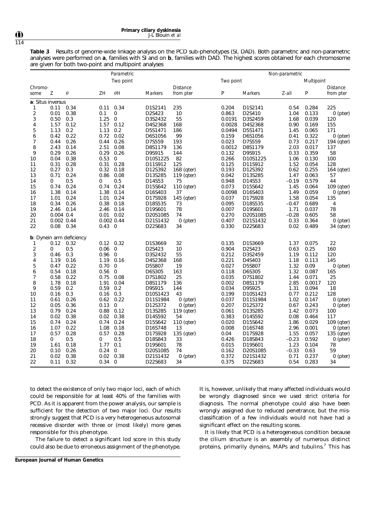### 114

**Table 3** Results of genome-wide linkage analysis on the PCD sub-phenotypes (SI, DAD). Both parametric and non-parametric analyses were performed on **a**, families with SI and on **b**, families with DAD. The highest scores obtained for each chromosome are given for both two-point and multipoint analyses

|                   |               |                          |                | Parametric    |                    |                              | Non-parametric |                    |                 |                |                       |
|-------------------|---------------|--------------------------|----------------|---------------|--------------------|------------------------------|----------------|--------------------|-----------------|----------------|-----------------------|
|                   |               |                          |                | Two point     |                    |                              | Two point      |                    |                 | Multipoint     |                       |
| Chromo-<br>some   | Ζ             | $\theta$                 | ZΗ             | $\theta H$    | <b>Markers</b>     | <b>Distance</b><br>from pter | P              | <b>Markers</b>     | $Z$ -all        | P              | Distance<br>from pter |
| a: Situs inversus |               |                          |                |               |                    |                              |                |                    |                 |                |                       |
| 1                 | 0.11          | 0.34                     | 0.11           | 0.34          | D1S2141            | 235                          | 0.204          | D1S2141            | 0.54            | 0.284          | 225                   |
| $\overline{2}$    | 0.01          | 0.38                     | 0.1            | 0             | D2S423             | 10                           | 0.863          | D2S410             | 1.04            | 0.133          | $0$ (pter)            |
| 3                 | 0.50          | 0.3                      | 1.25           | 0             | D3S2432            | 55                           | 0.0191         | D3S2459            | 1.68            | 0.039          | 120                   |
| 4                 | 1.57          | 0.12                     | 1.57           | 0.12          | D4S2368            | 168                          | 0.0028         | D4S2368            | 0.90            | 0.169          | 155                   |
| 5                 | 1.13          | 0.2                      | 1.13           | 0.2           | D5S1471            | 186                          | 0.0494         | D5S1471            | 1.45            | 0.065          | 171                   |
| 6                 | 0.42          | 0.22                     | 0.72           | 0.02          | D6S1056            | 99                           | 0.159          | D6S1056            | 0.41            | 0.322          | 0 (pter)              |
| 7                 | 0.44          | 0.26                     | 0.44           | 0.26          | D7S559             | 193                          | 0.023          | D7S559             | 0.73            | 0.217          | 194 (gter)            |
| 8                 | 2.43          | 0.14                     | 2.51           | 0.08          | D8S1179            | 136                          | 0.0012         | D8S1179            | 2.03            | 0.017          | 137                   |
| 9                 | 0.29          | 0.26                     | 0.29           | 0.26          | D9S915             | 144                          | 0.132          | D9S915             | 0.33            | 0.359          | 58                    |
| 10                | 0.04          | 0.38                     | 0.53           | 0             | D10S1225           | 82                           | 0.266          | D10S1225           | 1.06            | 0.130          | 100                   |
| 11                | 0.31          | 0.28                     | 0.31           | 0.28          | D11S912            | 125                          | 0.125          | D11S912            | 1.52            | 0.054          | 128                   |
| 12                | 0.27          | 0.3                      | 0.32           | 0.18          | D12S392            | 168 (qter)                   | 0.193          | D12S392            | 0.62            | 0.255          | 164 (qter)            |
| 13                | 0.71          | 0.24                     | 0.86           | 0.08          | D13S285            | 119 (qter)                   | 0.042          | D13S285            | 1.47            | 0.063          | 57                    |
| 14                | 0             | 0.5                      | 0              | 0.5           | D14S53             | 75                           | 0.948          | D14S53             | $-0.19$         | 0.579          | 44                    |
| 15                | 0.74          | 0.24                     | 0.74           | 0.24          | D15S642            | 110 (gter)                   | 0.073          | D15S642            | 1.45            | 0.064          | 109 (qter)            |
| 16                | 1.38<br>1.01  | 0.14<br>0.24             | 1.38<br>1.01   | 0.14<br>0.24  | D16S403            | 37                           | 0.0098         | D16S403<br>D17S928 | 1.49<br>1.58    | 0.059<br>0.054 | 0 (pter)              |
| 17                | 0.34          | 0.26                     | 0.38           | 0.18          | D17S928<br>D18S535 | 145 (qter)                   | 0.037<br>0.095 |                    |                 | 0.689          | 135<br>4              |
| 18<br>19          | 2.46          | 0.14                     | 2.46           | 0.14          | D19S601            | 73<br>78                     | 0.007          | D18S535<br>D19S601 | $-0.47$<br>1.71 | 0.037          | 78                    |
| 20                | $0.004$ $0.4$ |                          | 0.01           | 0.02          | D20S1085           | 74                           | 0.270          | D20S1085           | $-0.28$         | 0.605          | 58                    |
| 21                | 0.002 0.44    |                          |                | 0.002 0.44    | D21S1432           | $0$ (pter)                   | 0.407          | D21S1432           | 0.33            | 0.364          | $0$ (pter)            |
| 22                | 0.08          | 0.34                     | $0.43 \quad 0$ |               | D22S683            | 34                           | 0.330          | D22S683            | 0.02            | 0.489          | 34 (qter)             |
|                   |               | b: Dynein arm deficiency |                |               |                    |                              |                |                    |                 |                |                       |
| 1                 | 0.12          | 0.32                     |                | $0.12$ $0.32$ | D1S3669            | 32                           | 0.135          | D1S3669            | 1.37            | 0.075          | 22                    |
| 2                 | 0             | 0.5                      | 0.06           | 0             | D2S423             | 10                           | 0.904          | D2S423             | 0.63            | 0.25           | 160                   |
| 3                 | 0.46          | 0.3                      | 0.96           | 0             | D3S2432            | 55                           | 0.212          | D3S2459            | 1.19            | 0.112          | 120                   |
| 4                 | 1.19          | 0.16                     | 1.19           | 0.16          | D4S2368            | 168                          | 0.221          | D4S403             | 1.18            | 0.113          | 145                   |
| 5                 | 0.47          | 0.22                     | 0.70           | 0             | D5S807             | 19                           | 0.027          | D5S807             | 1.32            | 0.09           | 0 (pter)              |
| 6                 | 0.54          | 0.18                     | 0.56           | $\mathbf 0$   | D6S305             | 163                          | 0.118          | D6S305             | 1.32            | 0.087          | 165                   |
| 7                 | 0.58          | 0.22                     | 0.75           | 0.08          | D7S1802            | 25                           | 0.035          | D7S1802            | 1.44            | 0.071          | 25                    |
| 8                 | 1.78          | 0.18                     | 1.91           | 0.04          | D8S1179            | 136                          | 0.002          | D8S1179            | 2.85            | 0.0017         | 120                   |
| 9                 | 0.59          | 0.2                      | 0.59           | 0.2           | D9S915             | 144                          | 0.034          | D9S925             | 1.31            | 0.094          | 18                    |
| 10                | 0.16          | 0.3                      | 0.16           | 0.3           | D10S1423           | 43                           | 0.199          | D10S1423           | 0.77            | 0.212          | 128                   |
| 11                | 0.61          | 0.26                     | 0.62           | 0.22          | D11S1984           | $0$ (pter)                   | 0.037          | D11S1984           | 1.02            | 0.147          | $0$ (pter)            |
| 12                | 0.05          | 0.36                     | 0.13           | 0             | D12S372            | $0$ (pter)                   | 0.207          | D12S372            | 0.67            | 0.243          | $0$ (pter)            |
| 13                | 0.79          | 0.24                     | 0.88           | 0.12          | D13S285            | 119 (qter)                   | 0.061          | D13S285            | 1.42            | 0.073          | 100                   |
| 14                | 0.02          | 0.38                     | 0.02           | 0.38          | D14S592            | 54                           | 0.383          | D14S592            | 0.08            | 0.464          | 117                   |
| 15                | 0.74          | 0.24                     | 0.74           | 0.24          | D15S642            | 110 (qter)                   | 0.020          | D15S642            | 1.86            | 0.029          | 109 (qter)            |
| 16                | 1.07          | 0.22                     | 1.08           | 0.18          | D16S748            | 13                           | 0.008          | D16S748            | 2.96            | 0.001          | $0$ (pter)            |
| 17                | 0.57          | 0.28                     | 0.57           | 0.28          | D17S928            | 135 (qter)                   | 0.04           | D17S928            | 1.55            | 0.057          | 135 (qter)            |
| 18                | 0             | 0.5                      | 0              | 0.5           | D18S843            | 33                           | 0.426          | D18S843            | $-0.23$         | 0.592          | $0$ (pter)            |
| 19                | 1.61          | 0.18                     | 1.77           | 0.1           | D19S601            | 78                           | 0.015          | D19S601            | 1.23            | 0.104          | 78                    |
| 20                | 0.10          | 0.26                     | 0.24           | $\mathbf 0$   | D20S1085           | 74                           | 0.162          | D20S1085           | $-0.33$         | 0.63           | 59                    |
| 21                | 0.02          | 0.38                     | 0.02           | 0.38          | D21S1432           | $0$ (pter)                   | 0.372          | D21S1432           | 0.71            | 0.237          | $0$ (pter)            |
| 22                | 0.11          | 0.32                     | $0.34 \quad 0$ |               | D22S683            | 34                           | 0.375          | D22S683            | 0.54            | 0.283          | 34                    |

to detect the existence of only two major loci, each of which could be responsible for at least 40% of the families with PCD. As it is apparent from the power analysis, our sample is sufficient for the detection of two major loci. Our results strongly suggest that PCD is a very heterogeneous autosomal recessive disorder with three or (most likely) more genes responsible for this phenotype.

The failure to detect a significant lod score in this study could also be due to erroneous assignment of the phenotype. It is, however, unlikely that many affected individuals would be wrongly diagnosed since we used strict criteria for diagnosis. The normal phenotype could also have been wrongly assigned due to reduced penetrance, but the misclassification of a few individuals would not have had a significant effect on the resulting scores.

It is likely that PCD is a heterogeneous condition because the cilium structure is an assembly of numerous distinct proteins, primarily dyneins, MAPs and tubulins.<sup>7</sup> This has

**European Journal of Human Genetics**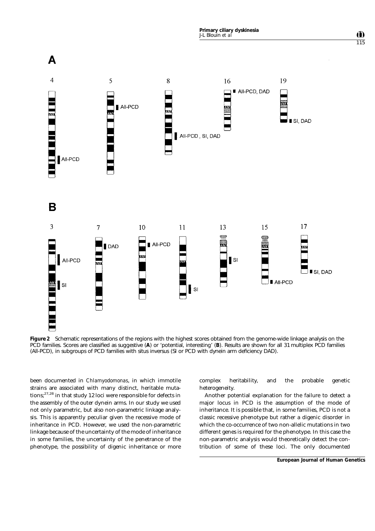

**Figure 2** Schematic representations of the regions with the highest scores obtained from the genome-wide linkage analysis on the PCD families. Scores are classified as suggestive (**A**) or 'potential, interesting' (**B**). Results are shown for all 31 multiplex PCD families (All-PCD), in subgroups of PCD families with situs inversus (SI or PCD with dynein arm deficiency DAD).

been documented in *Chlamyodomonas*, in which immotile strains are associated with many distinct, heritable mutations;<sup>27,28</sup> in that study 12 loci were responsible for defects in the assembly of the outer dynein arms. In our study we used not only parametric, but also non-parametric linkage analysis. This is apparently peculiar given the recessive mode of inheritance in PCD. However, we used the non-parametric linkage because of the uncertainty of the mode of inheritance in some families, the uncertainty of the penetrance of the phenotype, the possibility of digenic inheritance or more complex heritability, and the probable genetic heterogeneity.

Another potential explanation for the failure to detect a major locus in PCD is the assumption of the mode of inheritance. It is possible that, in some families, PCD is not a classic recessive phenotype but rather a digenic disorder in which the co-occurrence of two non-allelic mutations in two different genes is required for the phenotype. In this case the non-parametric analysis would theoretically detect the contribution of some of these loci. The only documented 115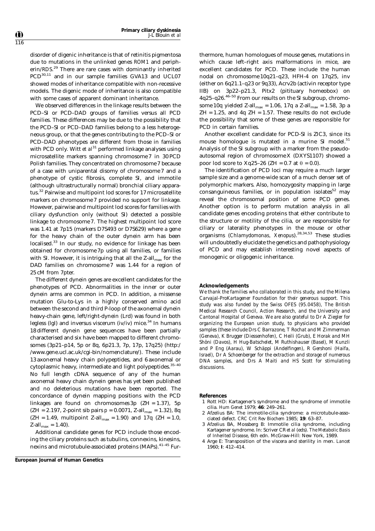disorder of digenic inheritance is that of retinitis pigmentosa due to mutations in the unlinked genes *ROM1* and peripherin/*RDS*. <sup>29</sup> There are rare cases with dominantly inherited PCD<sup>30,11</sup> and in our sample families GVA13 and UCL07 showed modes of inheritance compatible with non-recessive models. The digenic mode of inheritance is also compatible with some cases of apparent dominant inheritance.

We observed differences in the linkage results between the PCD–SI or PCD–DAD groups of families versus all PCD families. These differences may be due to the possibility that the PCD–SI or PCD–DAD families belong to a less heterogeneous group, or that the genes contributing to the PCD–SI or PCD–DAD phenotypes are different from those in families with PCD only. Witt *et al*<sup>31</sup> performed linkage analyses using microsatellite markers spanning chromosome 7 in 30 PCD Polish families. They concentrated on chromosome 7 because of a case with uniparental disomy of chromosome 7 and a phenotype of cystic fibrosis, complete SI, and immotile (although ultrastructurally normal) bronchial ciliary apparatus.<sup>32</sup> Pairwise and multipoint lod scores for 17 microsatellite markers on chromosome 7 provided no support for linkage. However, pairwise and multipoint lod scores for families with ciliary dysfunction only (without SI) detected a possible linkage to chromosome 7. The highest multipoint lod score was 1.41 at 7p15 (markers D7S493 or D7S629) where a gene for the heavy chain of the outer dynein arm has been localised.33 In our study, no evidence for linkage has been obtained for chromosome 7p using all families, or families with SI. However, it is intriguing that all the Z-all $_{\text{max}}$  for the DAD families on chromosome 7 was 1.44 for a region of 25 cM from 7pter.

The different dynein genes are excellent candidates for the phenotypes of PCD. Abnormalities in the inner or outer dynein arms are common in PCD. In addition, a missense mutation Glu-to-Lys in a highly conserved amino acid between the second and third P-loop of the axonemal dynein heavy-chain gene, left/right-dynein (Lrd) was found in both legless (lgl) and inversus viscerum (iv/iv) mice.<sup>34</sup> In humans 18 different dynein gene sequences have been partially characterised and six have been mapped to different chromosomes (3p21–p14, 5p or 8q, 6p21.3, 7p, 17p, 17q25) (http:/ /www.gene.ucl.ac.uk/cgi-bin/nomenclature/). These include 13 axonemal heavy chain polypeptides, and 6 axonemal or cytoplasmic heavy, intermediate and light polypeptides.<sup>35-40</sup> No full length cDNA sequence of any of the human axonemal heavy chain dynein genes has yet been published and no deleterious mutations have been reported. The concordance of dynein mapping positions with the PCD linkages are found on chromosomes 3p (ZH = 1.37), 5p (ZH = 2.197, 2-point sib pairs  $p = 0.0071$ , Z-all<sub>max</sub> = 1.32), 8q  $(ZH = 1.49$ , multipoint Z-all<sub>max</sub> = 1.90) and 17q (ZH = 1.0,  $Z$ -all $_{max}$  = 1.40).

Additional candidate genes for PCD include those encoding the ciliary proteins such as tubulins, connexins, kinesins, nexins and microtubule-associated proteins (MAPs).<sup>41-45</sup> Furthermore, human homologues of mouse genes, mutations in which cause left–right axis malformations in mice, are excellent candidates for PCD. These include the human nodal on chromosome 10q21–q23, HFH-4 on 17q25, inv (either on 6q21.1–q23 or 9q33), Acrv2b (activin receptor type IIB) on 3p22–p21.3, Pitx2 (pitituary homeobox) on 4q25–q26.46–50 From our results on the SI subgroup, chromosome 10q yielded Z-all<sub>max</sub> = 1.06, 17q a Z-all<sub>max</sub> = 1.58, 3p a  $ZH = 1.25$ , and  $4q ZH = 1.57$ . These results do not exclude the possibility that some of these genes are responsible for PCD in certain families.

Another excellent candidate for PCD-SI is ZIC3, since its mouse homologue is mutated in a murine SI model. $51$ Analysis of the SI subgroup with a marker from the pseudoautosomal region of chromosome X (DXYS1107) showed a poor lod score to Xq25–26 (ZH =  $0.7$  at  $\theta = 0.0$ ).

The identification of PCD loci may require a much larger sample size and a genome-wide scan of a much denser set of polymorphic markers. Also, homozygosity mapping in large consanguineous families, or in population isolates $52$  may reveal the chromosomal position of some PCD genes. Another option is to perform mutation analysis in all candidate genes encoding proteins that either contribute to the structure or motility of the cilia, or are responsible for ciliary or laterality phenotypes in the mouse or other organisms (*Chlamydomonas, Xenopus*).28,34,53 These studies will undoubtedly elucidate the genetics and pathophysiology of PCD and may establish interesting novel aspects of monogenic or oligogenic inheritance.

#### **Acknowledgements**

*We thank the families who collaborated in this study, and the Milena Carvajal-ProKartagener Foundation for their generous support. This study was also funded by the Swiss OFES (95.0458), The British Medical Research Council, Action Research, and the University and Cantonal Hospital of Geneva. We are also grateful to Dr A Ziegler for organizing the European union study, to physicians who provided samples (these include Drs C Barrazone, T Rochat and M Zimmerman (Geneva), K Brugger (Diessenhofen), C Heili (Grub), E Horak and MH Sh¨oni (Davos), H Hug-Batschelet, M Ruthishauser (Basel), M Kunzli and P Eng (Aarau), W Sch¨appi (Andelfingen), R Gershoni (Haifa, Israel), Dr A Schoenberger for the extraction and storage of numerous DNA samples, and Drs A Maiti and HS Scott for stimulating discussions.*

**References**

- 1 Rott HD: Kartagener's syndrome and the syndrome of immotile cilia. *Hum Genet* 1979; **46**: 249–261.
- 2 Afzelius BA: The immotile-cilia syndrome: a microtubule-associated defect. *CRC Crit Rev Biochem* 1985; **19**: 63–87.
- 3 Afzelius BA, Mossberg B: Immotile cilia syndrome, including Kartagener syndrome. In: Scriver CR *et al* (eds). *The Metabolic Basis of Inherited Disease*, 6th edn. McGraw-Hill: New York, 1989.
- 4 Arge E: Transposition of the viscera and sterility in men. *Lancet* 1960; **I**: 412–414.

116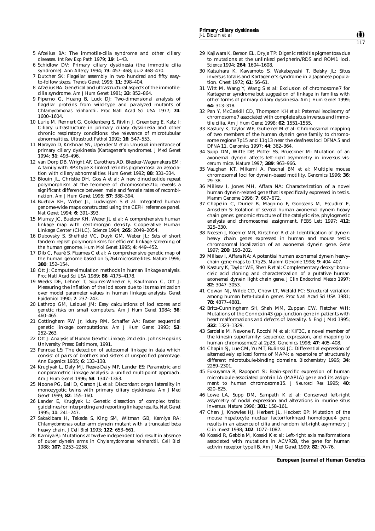- 5 Afzelius BA: The immotile-cilia syndrome and other ciliary diseases. *Int Rev Exp Path* 1979; **19**: 1–43.
- 6 Schidlow DV: Primary ciliary dyskinesia (the immotile cilia syndrome). *Ann Allergy* 1994; **73**: 457–468; quiz 468–470.
- 7 Dutcher SK: Flagellar assembly in two hundred and fifty easyto-follow steps. *Trends Genet* 1995; **11**: 398–404.
- 8 Afzelius BA: Genetical and ultrastructural aspects of the immotilecilia syndrome. *Am J Hum Genet* 1981; **33**: 852–864.
- 9 Piperno G, Huang B, Luck DJ: Two-dimensional analysis of flagellar proteins from wild-type and paralyzed mutants of *Chlamydomonas reinhardtii*. *Proc Natl Acad Sci USA* 1977; **74**: 1600–1604.
- 10 Lurie M, Rennert G, Goldenberg S, Rivlin J, Greenberg E, Katz I: Ciliary ultrastructure in primary ciliary dyskinesia and other chronic respiratory conditions: the relevance of microtubular abnormalities. *Ultrastruct Pathol* 1992; **16**: 547–553.
- 11 Narayan D, Krishnan SN, Upender M *et al*: Unusual inheritance of primary ciliary dyskinesia (Kartagener's syndrome). *J Med Genet* 1994; **31**: 493–496.
- 12 van Dorp DB, Wright AF, Carothers AD, Bleeker-Wagemakers EM: A family with RP3 type X-linked retinitis pigmentosa: an association with ciliary abnormalities. *Hum Genet* 1992; **88**: 331–334.
- 13 Blouin JL, Christie DH, Gos A *et al*: A new dinucleotide repeat polymorphism at the telomere of chromosome 21q reveals a significant difference between male and female rates of recombination. *Am J Hum Genet* 1995; **57**: 388–394.
- 14 Buetow KH, Weber JL, Ludwigsen S *et al*: Integrated human genome-wide maps constructed using the CEPH reference panel. *Nat Genet* 1994; **6**: 391–393.
- 15 Murray JC, Buetow KH, Weber JL *et al*: A comprehensive human linkage map with centimorgan density. Cooperative Human Linkage Center (CHLC). *Science* 1994; **265**: 2049–2054.
- 16 Dubovsky S, Sheffield VC, Duyk GM, Weber JL: Sets of short tandem repeat polymorphisms for efficient linkage screening of the human genome. *Hum Mol Genet* 1995; **4**: 449–452.
- 17 Dib C, Fauré S, Fizames C *et al*: A comprehensive genetic map of the human genome based on 5,264 microsatellites. *Nature* 1996; **380**: 152–154.
- 18 Ott J: Computer-simulation methods in human linkage analysis. *Proc Natl Acad Sci USA* 1989; **86**: 4175–4178.
- 19 Weeks DE, Lehner T, Squires-Wheeler E, Kaufmann C, Ott J: Measuring the inflation of the lod score due to its maximization over model parameter values in human linkage analysis. *Genet Epidemiol* 1990; **7**: 237–243.
- 20 Lathrop GM, Lalouel JM: Easy calculations of lod scores and genetic risks on small computers. *Am J Hum Genet* 1984; **36**: 460–465.
- 21 Cottingham RW Jr, Idury RM, Schaffer AA: Faster sequential genetic linkage computations. *Am J Hum Genet* 1993; **53**: 252–263.
- 22 Ott J: *Analysis of Human Genetic Linkage*, 2nd edn. Johns Hopkins University Press: Baltimore, 1991.
- 23 Penrose LS: The detection of autosomal linkage in data which consist of pairs of brothers and sisters of unspecified parentage. *Ann Eugenics* 1935; **6**: 133–138.
- 24 Kruglyak L, Daly MJ, Reeve-Daly MP, Lander ES: Parametric and nonparametric linkage analysis: a unified multipoint approach. *Am J Hum Genet* 1996; **58**: 1347–1363.
- 25 Noone PG, Bali D, Carson JL *et al*: Discordant organ laterality in monozygotic twins with primary ciliary dyskinesia. *Am J Med Genet* 1999; **82**: 155–160.
- 26 Lander E, Kruglyak L: Genetic dissection of complex traits: guidelines for interpreting and reporting linkage results. *Nat Genet* 1995; **11**: 241–247.
- 27 Sakakibara H, Takada S, King SM, Witman GB, Kamiya RA: *Chlamydomonas* outer arm dynein mutant with a truncated beta heavy chain. *J Cell Biol* 1993; **122**: 653–661.
- 28 Kamiya RJ: Mutations at twelve independent loci result in absence of outer dynein arms in *Chylamydomonas reinhardtii*. *Cell Biol* 1988; **107**: 2253–2258.
- 29 Kajiwara K, Berson EL, Dryja TP: Digenic retinitis pigmentosa due to mutations at the unlinked peripherin/RDS and ROM1 loci. *Science* 1994; **264**: 1604–1608.
- 30 Katsuhara K, Kawamoto S, Wakabayashi T, Belsky JL: Situs inversus totalis and Kartagener's syndrome in a Japanese population. *Chest* 1972; **61**: 56–61.
- 31 Witt M, Wang Y, Wang S *et al*: Exclusion of chromosome 7 for Kartagener syndrome but suggestion of linkage in families with other forms of primary ciliary dyskinesia. *Am J Hum Genet* 1999; **64**: 313–318.
- 32 Pan Y, McCaskill CD, Thompson KH *et al*: Paternal isodisomy of chromosome 7 associated with complete situs inversus and immotile cilia. *Am J Hum Genet* 1998; **62**: 1551–1555.
- 33 Kastury K, Taylor WE, Gutierrez M *et al*: Chromosomal mapping of two members of the human dynein gene family to chromosome regions 7p15 and 11q13 near the deafness loci DFNA 5 and DFNA 11. *Genomics* 1997; **44**: 362–364.
- 34 Supp DM, Witte DP, Potter SS, Brueckner M: Mutation of an axonemal dynein affects left-right asymmetry in inversus viscerum mice. *Nature* 1997; **389**: 963–966.
- 35 Vaughan KT, Mikami A, Paschal BM *et al*: Multiple mouse chromosomal loci for dynein-based motility. *Genomics* 1996; **36**: 29–38.
- 36 Milisav I, Jones MH, Affara NA: Characterization of a novel human dynein-related gene that is specifically expressed in testis. *Mamm Genome* 1996; **7**: 667–672.
- 37 Chapelin C, Duriez B, Magnino F, Goossens M, Escudier E, Amselem S: Isolation of several human axonemal dynein heavy chain genes: genomic structure of the catalytic site, phylogenetic analysis and chromosomal assignment. *FEBS Lett* 1997; **412**: 325–330.
- 38 Neesen J, Koehler MR, Kirschner R *et al*: Identification of dynein heavy chain genes expressed in human and mouse testis: chromosomal localization of an axonemal dynein gene. *Gene* 1997; **200**: 193–202.
- 39 Milisav I, Affara NA: A potential human axonemal dynein heavychain gene maps to 17q25. *Mamm Genome* 1998; **9**: 404–407.
- 40 Kastury K, Taylor WE, Shen R *et al*: Complementary deoxyribonucleic acid cloning and characterization of a putative human axonemal dynein light chain gene. *J Clin Endocrinol Metab* 1997; **82**: 3047–3053.
- 41 Cowan NJ, Wilde CD, Chow LT, Wefald FC: Structural variation among human beta-tubulin genes. *Proc Natl Acad Sci USA* 1981; **78**: 4877–4881.
- 42 Britz-Cunningham SH, Shah MM, Zuppan CW, Fletcher WH: Mutations of the Connexin43 gap-junction gene in patients with heart malformations and defects of laterality. *N Engl J Med* 1995; **332**: 1323–1329.
- 43 Sardella M, Navone F, Rocchi M *et al*: KIF3C, a novel member of the kinesin superfamily: sequence, expression, and mapping to human chromosome 2 at 2p23. *Genomics* 1998; **47**: 405–408.
- 44 Chapin SJ, Lue CM, Yu MT, Bulinski JC: Differential expression of alternatively spliced forms of MAP4: a repertoire of structurally different microtubule-binding domains. *Biochemistry* 1995; **34**: 2289–2301.
- 45 Fukuyama R, Rapoport SI: Brain-specific expression of human microtubule-associated protein 1A (MAP1A) gene and its assignment to human chromosome 15. *J Neurosci Res* 1995; **40**: 820–825.
- 46 Lowe LA, Supp DM, Sampath K *et al*: Conserved left-right assymetry of nodal expression and alterations in murine situs inversus. *Nature* 1996; **381**: 158–161.
- 47 Chen J, Knowles HJ, Herbert JL, Hackett BP: Mutation of the mouse hepatocyte nuclear factor/forkhead homologue 4 gene results in an absence of cilia and random left-right asymmetry. *J Clin Invest* 1998; **102**: 1077–1082.
- 48 Kosaki R, Gebbia M, Kosaki K *et al*: Left-right axis malformations associated with mutations in ACVR2B, the gene for human activin receptor type IIB. *Am J Med Genet* 1999; **82**: 70–76.